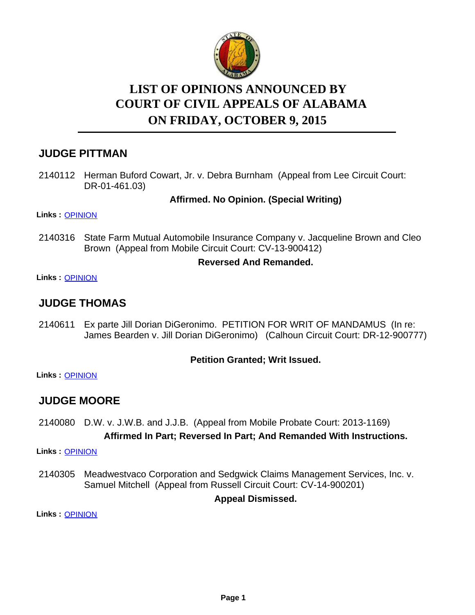

# **LIST OF OPINIONS ANNOUNCED BY ON FRIDAY, OCTOBER 9, 2015 COURT OF CIVIL APPEALS OF ALABAMA**

# **JUDGE PITTMAN**

2140112 Herman Buford Cowart, Jr. v. Debra Burnham (Appeal from Lee Circuit Court: DR-01-461.03)

### **Affirmed. No Opinion. (Special Writing)**

**Links :** [OPINION](https://acis.alabama.gov/displaydocs.cfm?no=689833&event=4GR0LHFLB)

2140316 State Farm Mutual Automobile Insurance Company v. Jacqueline Brown and Cleo Brown (Appeal from Mobile Circuit Court: CV-13-900412)

### **Reversed And Remanded.**

**Links :** [OPINION](https://acis.alabama.gov/displaydocs.cfm?no=689836&event=4GR0LHGAX)

# **JUDGE THOMAS**

Ex parte Jill Dorian DiGeronimo. PETITION FOR WRIT OF MANDAMUS (In re: James Bearden v. Jill Dorian DiGeronimo) (Calhoun Circuit Court: DR-12-900777) 2140611

### **Petition Granted; Writ Issued.**

**Links :** [OPINION](https://acis.alabama.gov/displaydocs.cfm?no=689839&event=4GR0LHHOB)

# **JUDGE MOORE**

2140080 D.W. v. J.W.B. and J.J.B. (Appeal from Mobile Probate Court: 2013-1169) **Affirmed In Part; Reversed In Part; And Remanded With Instructions.**

**Links :** [OPINION](https://acis.alabama.gov/displaydocs.cfm?no=689831&event=4GR0LHERF)

2140305 Meadwestvaco Corporation and Sedgwick Claims Management Services, Inc. v. Samuel Mitchell (Appeal from Russell Circuit Court: CV-14-900201)

**Appeal Dismissed.**

**Links :** [OPINION](https://acis.alabama.gov/displaydocs.cfm?no=689835&event=4GR0LHG5P)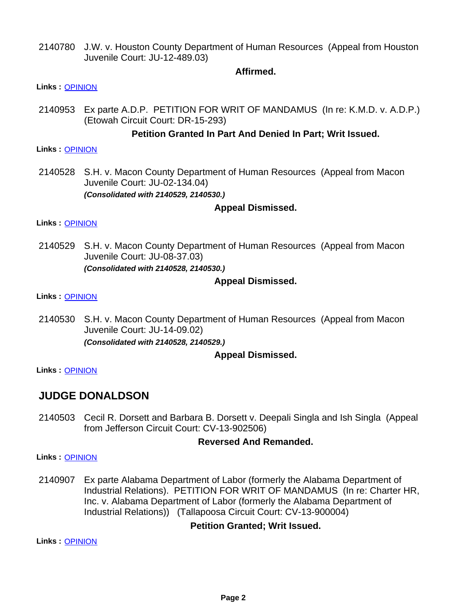2140780 J.W. v. Houston County Department of Human Resources (Appeal from Houston Juvenile Court: JU-12-489.03)

#### **Affirmed.**

#### **Links :** [OPINION](https://acis.alabama.gov/displaydocs.cfm?no=689841&event=4GR0LHHXF)

2140953 Ex parte A.D.P. PETITION FOR WRIT OF MANDAMUS (In re: K.M.D. v. A.D.P.) (Etowah Circuit Court: DR-15-293)

#### **Petition Granted In Part And Denied In Part; Writ Issued.**

#### **Links :** [OPINION](https://acis.alabama.gov/displaydocs.cfm?no=689843&event=4GR0LHI88)

2140528 S.H. v. Macon County Department of Human Resources (Appeal from Macon Juvenile Court: JU-02-134.04) *(Consolidated with 2140529, 2140530.)*

#### **Appeal Dismissed.**

#### **Links :** [OPINION](https://acis.alabama.gov/displaydocs.cfm?no=689838&event=4GR0LHGM5)

2140529 S.H. v. Macon County Department of Human Resources (Appeal from Macon Juvenile Court: JU-08-37.03) *(Consolidated with 2140528, 2140530.)*

### **Appeal Dismissed.**

#### **Links :** [OPINION](https://acis.alabama.gov/displaydocs.cfm?no=689838&event=4GR0LHGM5)

2140530 S.H. v. Macon County Department of Human Resources (Appeal from Macon Juvenile Court: JU-14-09.02) *(Consolidated with 2140528, 2140529.)*

### **Appeal Dismissed.**

**Links :** [OPINION](https://acis.alabama.gov/displaydocs.cfm?no=689838&event=4GR0LHGM5)

## **JUDGE DONALDSON**

2140503 Cecil R. Dorsett and Barbara B. Dorsett v. Deepali Singla and Ish Singla (Appeal from Jefferson Circuit Court: CV-13-902506)

#### **Reversed And Remanded.**

**Links :** [OPINION](https://acis.alabama.gov/displaydocs.cfm?no=689837&event=4GR0LHGG3)

Ex parte Alabama Department of Labor (formerly the Alabama Department of Industrial Relations). PETITION FOR WRIT OF MANDAMUS (In re: Charter HR, Inc. v. Alabama Department of Labor (formerly the Alabama Department of Industrial Relations)) (Tallapoosa Circuit Court: CV-13-900004) 2140907

### **Petition Granted; Writ Issued.**

**Links :** [OPINION](https://acis.alabama.gov/displaydocs.cfm?no=689842&event=4GR0LHI2L)